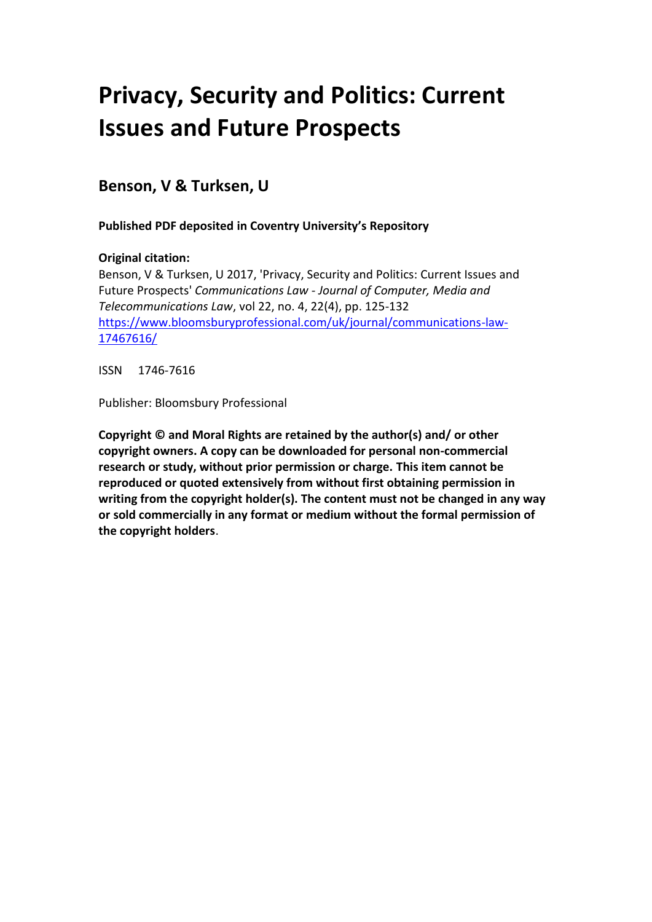### **Privacy, Security and Politics: Current Issues and Future Prospects**

**Benson, V & Turksen, U**

**Published PDF deposited in Coventry University's Repository**

#### **Original citation:**

Benson, V & Turksen, U 2017, 'Privacy, Security and Politics: Current Issues and Future Prospects' *Communications Law - Journal of Computer, Media and Telecommunications Law*, vol 22, no. 4, 22(4), pp. 125-132 [https://www.bloomsburyprofessional.com/uk/journal/communications-law-](https://www.bloomsburyprofessional.com/uk/journal/communications-law-17467616/)[17467616/](https://www.bloomsburyprofessional.com/uk/journal/communications-law-17467616/)

ISSN 1746-7616

Publisher: Bloomsbury Professional

**Copyright © and Moral Rights are retained by the author(s) and/ or other copyright owners. A copy can be downloaded for personal non-commercial research or study, without prior permission or charge. This item cannot be reproduced or quoted extensively from without first obtaining permission in writing from the copyright holder(s). The content must not be changed in any way or sold commercially in any format or medium without the formal permission of the copyright holders**.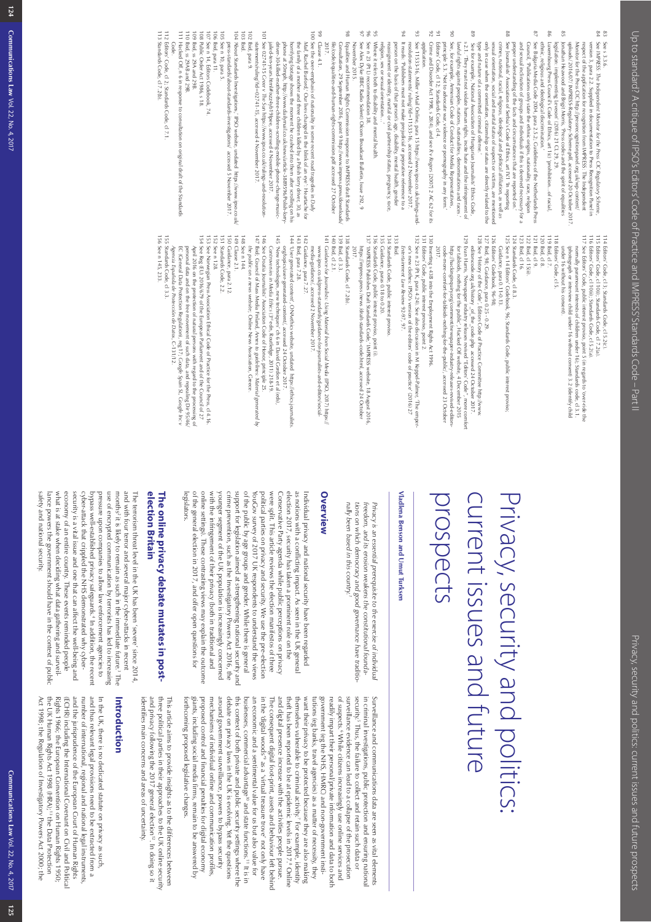| $\frac{105}{2}$<br>$103\,$<br>$\frac{1}{2}$<br>601<br>108<br>$\sqrt{0}$<br>901<br>104                                                                                                                                                                                                                                                                                                                                                                                                                                                                                                                                                                         | 66<br>86<br>$102$<br>$\frac{1}{2}$                                                                                                                                                                                                                                                                                                                                                                                                                                                                                                                                                                                                                                                                                                                                                                                                                                                                                                                                                                                         | 96<br>93<br>$\frac{6}{2}$<br>$^{16}$<br>$^{25}$                                                                                                                                                                                                                                                                                                                                                                                                                                                                                                                                                                                                                                                                              | $\overline{a}$<br>$\frac{6}{2}$<br>89<br>88<br>S7                                                                                                                                                                                                                                                                                                                                                                                                                                                                                                                                                                                                                                                                                                                                                                                                                                                                                                                                                                                                                                                                                                                                                                                                                      | 98<br><b>83</b><br>G9                                                                                                                                                                                                                                                                                                                                                                                                                                                                                                                                                                                                                  |
|---------------------------------------------------------------------------------------------------------------------------------------------------------------------------------------------------------------------------------------------------------------------------------------------------------------------------------------------------------------------------------------------------------------------------------------------------------------------------------------------------------------------------------------------------------------------------------------------------------------------------------------------------------------|----------------------------------------------------------------------------------------------------------------------------------------------------------------------------------------------------------------------------------------------------------------------------------------------------------------------------------------------------------------------------------------------------------------------------------------------------------------------------------------------------------------------------------------------------------------------------------------------------------------------------------------------------------------------------------------------------------------------------------------------------------------------------------------------------------------------------------------------------------------------------------------------------------------------------------------------------------------------------------------------------------------------------|------------------------------------------------------------------------------------------------------------------------------------------------------------------------------------------------------------------------------------------------------------------------------------------------------------------------------------------------------------------------------------------------------------------------------------------------------------------------------------------------------------------------------------------------------------------------------------------------------------------------------------------------------------------------------------------------------------------------------|------------------------------------------------------------------------------------------------------------------------------------------------------------------------------------------------------------------------------------------------------------------------------------------------------------------------------------------------------------------------------------------------------------------------------------------------------------------------------------------------------------------------------------------------------------------------------------------------------------------------------------------------------------------------------------------------------------------------------------------------------------------------------------------------------------------------------------------------------------------------------------------------------------------------------------------------------------------------------------------------------------------------------------------------------------------------------------------------------------------------------------------------------------------------------------------------------------------------------------------------------------------------|----------------------------------------------------------------------------------------------------------------------------------------------------------------------------------------------------------------------------------------------------------------------------------------------------------------------------------------------------------------------------------------------------------------------------------------------------------------------------------------------------------------------------------------------------------------------------------------------------------------------------------------|
| 112 Editors' Code, cl 2; Stand<br>113 Standards Code, cl 7.2(b).<br>111 Hacked Off, n 6 in response to consultation on original draft of the Standards<br>Editors' Code, cl 2; Standards Code, cl 7.1<br>lbid, ss 29A and 29B.<br>Ibid, ss 29AB and 29B.<br>Public Order Act 1986, s 18.<br>See n 14, Editors Codebook, 74<br>'About Standards Investigations', IPSO website, undated https://www.ipso.co.uk/<br>Poss-standards/about-standards-investigations/ accessed 5 November 2017.<br>lbid.<br>Ibid, para 11<br>See n 10, para 5.<br>press-standards/about-standards-investigations/<br><b>Code</b>                                                    | 101 See 02741-15 Creer v The Sun https://www.ipso.co.uk/rulings-and-resolution-<br>statements/ruling/id=02741-15, accessed 4 November 2017.<br>See the over-emphasis of nationality in some recent road tragedies in Daily<br>Ibid, para 9.<br>Clause 4.1.<br>Equalities and Human Rights Commission response to IMPRESS draft Standards<br>driver-30-killed-mother-three-children-scrolling-mobile-phone-change-music-<br>the transport a proper and the children killed by a replish lorry driver, 30, as<br>Mail, Rachel Burford,' Our lives changed in the blink of an eye': Heartache for<br>file/code/equalities-and-human-rights-commission.pdf accessed 27 October<br>phone at 50 mph, http://www.dailymail.co.uk/news/article-3889596/Polish-lorry-<br>horrifying footage shows the moment he crashed into them after scrolling on his<br>2017<br>Consultation, 29 September 2016, point 9 http://www.impress.press/downloads/<br>November 2015.<br>jailed-ten-years.html#ixzz4yb19Ipee, accessed 4 November 2017 | See 11533-16, Miller v Mail Online, para 15 https://www.ipso.co.uk/rulings-and-<br>See Alex Dyke (BBC Radio Solent) Ofcom Broadcast Bulletin, Issue 292, 9<br>Where it refers both to disability and mental health.<br>It reads: 'Publishers must not make prejudicial or pejorative reference to a<br>application.<br>Crime and Disorder Act 1998, s 28(4), and see R v Rogers [2007] 2 AC 62 for its<br>See n 23 (Pt L) recommendation 38.<br>religion, sex or sexual orientation<br>reassignment or identity, marital or civil partnership status, pregnancy, race.<br>person on the basis of that person's age, disability, mental health, gender<br>resolution-statements/ruling/?id=11533-16, accessed 2 November 2017 | See, for example, Armenian Code of Conduct for Media Representatives,<br>s 2.1. They must not violate human rights, incite hate and the infringement of<br>only in case when the orientation, citizenship or status are directly related to the<br>sexual orientation, social and marital status of suspects or victims, are mentioned<br>crimes, national, racial, religious, ideological and political affiliation, as well as<br>See Journalists' Association of Serbia's Code of Ethics, art IV.1 'In reporting<br>and sexual inclination of groups and individuals if this is deemed necessary for a<br>type and nature of a committed criminal offense.<br>Council, 'Publications only state the ethnic origins, nationality, race, religion<br>See Bulgaria Media Code 2004, para 2.5.2; Cuidelines of the Netherlands Press<br>ethnic, religious and ideological discrimination.'<br>Editors' Code, cl 12; Standards Code, cl 4.<br>principle 5.3. Not to advocate war, violence or pornography in any form.'<br>lawful rights against peoples, nations, nationalities, denominations and races.<br>proper understanding of the facts and circumstances that are reported on.'<br>See for example, National Association of Hungarian Journalists' Ethics Code, | See IMPRESS: The Independent Monitor for the Press CIC Regulatory Scheme,<br>See s 3.3.6<br>Luxembourg Press Council's Code of Ethics, art 1(c) 'prohibitionof racial<br>Monitor for the Press CIC http://pressrecognitionpanel.org.uk/wp-content/<br>version 3, para 2.2. Supplied in documentation to Press Recognition Panel in<br>Jonathan Heawood and Brigit Morris, 'Press codes and the spirit of equalities<br>uploads/ 2016/07/ IMPRESS-Regulatory-Scheme.pdf, accessed 20 October 2017<br>respect of the application for recognition from IMPRESS: The Independent<br>legislation: implementing Leveson' (2016) 21 CL 29, 29 |
| 156 See n 145, 233<br>149 Clause 2.1.<br>148 See n 144.<br>155 Standards Code, cl 3.3.<br>153<br>152<br>150 Guidance, para 2.12.<br>151 Standards Code, 2.2.<br>154<br>See Reg (EU) 2016/679 of the European Parliament and of the Council of 27<br>See Norwegian Press Association Ethical Code of Practice for the Press, cl 4.16.<br>See n 128.<br>personal data and on the free movement of such data, and repealing Dir 95/46/<br>April 2016 on the protection of natural persons with regard to the processing of<br>Agencia Española de Protección de Datos, C-131/12<br>EC (General Data Protection Regulation), reg 17; Google Spain SL, Google Incv | 147 Ibid; Council of Mass Media Finland, Annex to guidelines: Material<br>146 See Croatia Journalists' Association Code of Honor, principle 25<br>145 "New technologies, new techniques" ch 6 in David Gordon et al (eds).<br>144 'User generated content', ONAethics website, undated https://ethics.journalists.<br>143 lbid, para 7.28<br>142 Guidance, para 7.27.<br>139 Ibid, cl 3.3.<br>138 Standards Code, cl 7.2(b)<br>141 Guidance for Journalists: Using Material from Social Media (IPSO, 2017) https://<br>140 Ibid, d 2.1.<br>org/topics/user-generated-content/, accessed 24 October 2017<br>the public on a news website; Online News Association, Greece<br>media-guidance/, accessed 2 November 2017<br>www.ipso.co.uk/press-standards/guidance-for-journalists-and-editors/social-<br>2017<br>Controversies in Media Ethics (3" edn, Routledge, 2011) 218-19<br>generated by                                                                                                                             | 137 IMPRESS Publishes Draft Standards Code,' IMPRESS website, 18 August 2016,<br>136 Standards Code, public interest proviso, point (i).<br>135 Guidance, paras 0.18 to 0.20.<br>134 Standards Code, public interest proviso<br>133 lbid.<br>132 See n 23 (Pt K, para 4.24). See also discussion in M Keppel-Palmer, 'The emper-<br>131 Editors' Code, public interest proviso, point 2.<br>130 Inserting s 43B into the Employment Rights Act 1996<br>https://impress.press /news/draft-standards-code.html, accessed 24 October<br>Entertainment Law Review 92-97, 97.<br>or's new clothes: IPSO's version of the editors' code of practice' (2016) 27                                                                     | 671<br>123<br>122 lbid, d 15 (ii).<br>121 lbid, d 9.<br>120 Ibid, cl 8.<br>128<br>$127\,$<br>971<br>124 Standards Code, cl 8.3.<br>125 See n 14 Editors' Codebook, 96, Standards Code, public interest proviso;<br>Evan Harris, 'Newspaper industry releases revised "Editors' Code", more comfort<br>See 'History of the Code', Editors Code of Practice Committee http://www.<br>lbid, 98; Guidance, para 0.25 - 0.29.<br>Editors' Codebook, 96-98;<br>lbid, cl 16.<br>code-more-comfort-for-tabloids-nothing-for-the-public/, accessed 23 October<br>http://hackinginquiry.org/comment/newspaper-industry-releases-revised-editors-<br>editorscode.org.uk/history_of_the_code.php_accessed 24 October 2017.<br>2017<br>for tabloids, nothing for the public', Hacked Off website, 4 December 2015<br>Guidance, para 0.11-0.13.                                                                                                                                                                                                                                                                                                                                                                                                                                      | $\frac{1}{2}$<br>116 Editors' Code, d 10(ii); Standards Code, d 5.2(a)<br>$\frac{1}{2}$<br>114 Editors' Code, cl 3; Standards Code, cl 5.2(c).<br>$-119$<br>$\frac{11}{8}$<br>$b$ id, cl 7.<br>Editors' Code, cl 5.<br>See Editors' Code, public interest proviso, point 5 (in regards to 'over-ride the<br>Editors' Code, cl 10 (i); Standards Code, cl 7.2 (a).<br>(photograph or interview child under 16 without consent) 3.2 (identify child<br>under 16 without his consent).<br>normally paramount interests of children under 16); Standards code, cl 3.1.                                                                     |

# current issues and future Privacy, security and politics: prospects current issues and future Privacy, security and politics:

## **Vladlena Benson and Umut Turksen Vladlena Benson and Umut Turksen**

nally been based in this country. tions on which democracy and good governance have traditio-Privacy is an essential prerequisite to the exercise of individual *nally been based in this country.1 tions on which democracy and good governance have traditio*freedom, and its erosion weakens the constitutional founda*freedom, and its erosion weakens the constitutional founda Privacy is an essential prerequisite to the exercise of individual* 

### Overview **Overview**

legislators. of the general election in 2017, and offer open questions for of the general election in 2017, and offer open questions for online settings). These contrasting views may explain the outcome online settings). These contrasting views may explain the outcome with the intringement of their privacy (both in traditional and with the infringement of their privacy (both in traditional and younger segment of the UK population is increasingly concerned younger segment of the UK population is increasingly concerned crime prevention, such as the Investigatory Powers Act 2016, the crime prevention, such as the Investigatory Powers Act 2016, the support for legislation aimed at strengthening national security and support for legislation aimed at strengthening national security and of the public by age groups and gender. While there is general of the public by age groups and gender. While there is general YouGov survey of 2017 UK respondents to understand the views YouGov survey of 2017 UK respondents to understand the views political parties on privacy and security. We use the pre-election were split. This article reviews the election manifestos of three were split. This article reviews the election manifestos of three Conservative Party agenda while public perceptions on privacy Conservative Party agenda while public perceptions on privacy election 2017, security has taken a prominent role on the election 2017, security has taken a prominent role on the as notions with a conflicting impact. As seen in the UK general as notions with a conflicting impact. As seen in the UK general Individual privacy and national security have been regarded political parties on privacy and security. We use the pre-election Individual privacy and national security have been regarded

## election Britain **election Britain** The online privacy debate mutates in post-**The online privacy debate mutates in post-**

satety and national security. safety and national security. lance powers the government should have in the context of public what is at stake when deciding what data gathering and surveilwhat is at stake when deciding what data gathering and surveil economy of an entire country. These events reminded people economy of an entire country. These events reminded people security is a vital issue and one that can affect the well-being and security is a vital issue and one that can affect the well-being and cyber-attack that crippled the NHS demonstrated why cybercyber-attack that crippled the NHS demonstrated why cyber bypass well-established privacy safeguards.<sup>4</sup> In addition, the recent pressure upon companies to allow law enforcement agencies to use of encrypted communication by terrorists has led to increasin months<sup>2</sup> it is likely to remain as such in the immediate future.<sup>3</sup> The and with four terror and several major cyber-attacks in recent and with four terror and several major cyber-attacks in recent The terrorism threat level in the UK has been 'severe' since 2014 The terrorism threat level in the UK has been 'severe' since 2014, lance powers the government should have in the context of public bypass well-established privacy safeguards. pressure upon companies to allow law enforcement agencies to use of encrypted communication by terrorists has led to increasing  $2$  it is likely to remain as such in the immediate future.<sup>3</sup> The 4 In addition, the recent

proposed control and financial penalties for digital economy this context of both private and public security settings where the security. Thus, the tailure to collect and retain such data or in criminal investigations, public protection and ensuring national torthcoming proposed legislative changes. forthcoming proposed legislative changes. giants, including social media firms, remain to be answered by giants, including social media firms, remain to be answered by proposed control and financial penalties for digital economy mechanisms of individual online and communication profiles, mechanisms of individual online and communication profiles around government surveillance, powers to bypass security around government surveillance, powers to bypass security debate on privacy laws in the UK is evolving. Yet the questions debate on privacy laws in the UK is evolving. Yet the questions this context of both private and public security settings where the businesses, commercial advantage<sup>10</sup> and state functions.<sup>11</sup> It is in businesses, commercial advantage an economic and a sentimental value for us but also value for an economic and a sentimental value for us but also value for in the 'digital woods'' as a 'wrtual treasure trove' not only have in the 'digital woods' The consequent digital foot-print, assets and behaviour left behind The consequent digital foot-print, assets and behaviour left behind and digital presence increase with the activities people pursue and digital presence increase with the activities people pursue. theft has been reported to be at epidemic levels in 2017.<sup>8</sup> Online thett has been reported to be at epidemic levels in 2017.<sup>8</sup> Online themselves vulnerable to criminal activity.' For example, identity themselves vulnerable to criminal activity. want their privacy to be protected because they are also making want their privacy to be protected because they are also making tutions (eg banks, travel agencies) as a matter of necessity, they tutions (eg banks, travel agencies) as a matter of necessity, they government (eg the NHS, HMRC) and non-government instigovernment (eg the NHS, HMRC) and non-government insti readily impart their personal/private information and data to both readily impart their personal/private information and data to both of suspects.<sup>6</sup> While citizens increasingly use online services and surveillance evidence can lead to a collapse of the prosecution<br>6 while citizens increasingly use online services and surveillance evidence can lead to a collapse of the prosecution in criminal investigations, public protection and ensuring national Surveillance and communications data are seen as vital elements Surveillance and communications data are seen as vital elements 5 Thus, the failure to collect and retain such data or 9 as a 'virtual treasure trove' not only have 10 and state functions.11 It is in 7 For example, identity

three political parties in their approaches to the UK online security identifies main concerns and areas of uncertainty. identifies main concerns and areas of uncertainty. and privacy following the 2017 general election<sup>12</sup>. In doing so it and privacy following the 2017 general election three political parties in their approaches to the UK online security This article aims to provide insights as to the differences between This article aims to provide insights as to the differences between  $^{12}$ . In doing so it

## Introduction **Introduction**

and thus relevant legal provisions need to be extracted from a the UK Human Rights Act 1998 (HRA),<sup>13</sup> the Data Protection In the UK, there is no dedicated statute on privacy as such Act 1998; the Regulation of Investigatory Powers Act 2000; the Act 1998; the Regulation of Investigatory Powers Act 2000; the the UK Human Rights Act 1998 (HRA); Rights 1966; the European Convention on Human Rights 1950, (ECHR) including the International Covenant on Civil and Political (ECHR) including the and the jurisprudence of the European Court of Human Rights and the jurisprudence of the European Court of Human Rights number of international, regional and national legal instruments number of international, regional and national legal instruments, and thus relevant legal provisions need to be extracted from a Rights 1966; the European Convention on Human Rights 1950; In the UK, there is no dedicated statute on privacy as such, International Covenant on Civil and Political 13 the Data Protection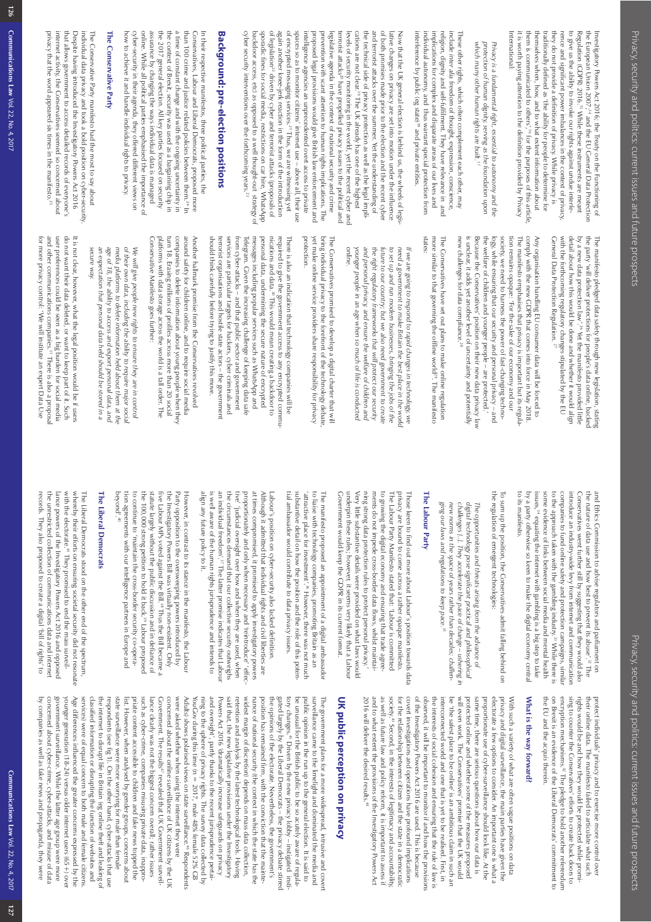the European Union 2007;" and the EU General Data Protection Investigatory Powers Act 2016; the Treaty on the Functioning of the European Union 2007; Investigatory Powers Act 2016; the Treaty on the Functioning of 14 and the EU General Data Protection

International it is worth paying attention to the definition provided by Privacy rence and significant power imbalances in the context of privacy, rence and significant power imbalances in the context of privacy, traditionally defined as the ability for people to determine for themselves when, how, an to give us the ability to invoke our rights against undue interfe-Regulation (GDPR) 2016.<sup>15</sup> While these instruments are meant International: it is worth paying attention to the definition provided by Privacy to give us the ability to invoke our rights against undue interfe-Regulation (GDPR) 2016.15 While these instruments are meant

which many other human rights are built.<sup>17</sup> protection of human dignity, serving as the foundation upon Privacy is a fundamental right, essential to autonomy and the *which many other human rights are built. protection of human dignity, serving as the foundation upon Privacy is a fundamental right, essential to autonomy and the* 

interference by public (eg state)<sup>18</sup> and private entities individual autonomy, and thus warrant special protection from implications for complex and disparate areas of our lives and religion, dignity and self-fulfilment. They have relevance in and interference by public (eg state) individual autonomy, and thus warrant special protection from implications for complex and disparate areas of our lives and religion, dignity and self-fulfilment. They have relevance in and include These other rights, which often complement each other, may These other rights, which often complement each other, may *inter alia* freedom of thought, expression, conscience, <sup>18</sup> and private entities.

cyber security interventions over the forthcoming years.<sup>23</sup> backdoor access, etc) as opposed to a well thought-out strategy of sporadic tines tor social media, restrictions on car hire, WhatsApp ot legislation<sup>44</sup> driven by cyber and terrorist attacks (proposals of again another knee-jerk reaction in the form of the introduction of encrypted messaging services.<sup>21</sup> Thus, we are witnessing yet spaces so as to monitor citizens' internet use - above all, their use intelligence agencies an unprecedented overt access to private proposed legal provisions would give British law enforcement and prevention with scant attention to human rights implications. The legislative agenda in the context of national security and crime terrorist attacks<sup>20</sup> have propelled privacy issues to the political and levels of security monitoring in the world, yet the recent cyber and cations are not clear.<sup>19</sup> The UK already has one of the highest the technical side of privacy protection as well as the legal impliand terrorist attacks over the summer. Yet the understanding of of both promises made prior to the election and the recent cyber lative changes on privacy are set into motion under the influence cyber security interventions over the forthcoming years. backdoor access, etc) as opposed to a well thought-out strategy of sporadic fines for social media, restrictions on car hire, WhatsApp of legislation again another knee-jerk reaction in the form of the introduction of encrypted messaging services. spaces so as to monitor citizens' internet use – above all, their use intelligence agencies an unprecedented overt access to private proposed legal provisions would give British law enforcement and prevention with scant attention to human rights implications. The legislative agenda in the context of national security and crime terrorist attacks levels of security monitoring in the world, yet the recent cyber and cations are not clear.19 The UK already has one of the highest lative changes on privacy are set into motion under the influence<br>and terrorist attacks over the summer. Yet the understanding of<br>and terrorist attacks over the summer. Yet the understanding of<br>the technical side of privac Now that the UK general election is behind us, the wheels of legi Now that the UK general election is behind us, the wheels of legis- $^{22}$  driven by cyber and terrorist attacks (proposals of 20 have propelled privacy issues to the political and 21 Thus, we are witnessing yet

# **Background: pre-election positions**  Background: pre-election positions

how to achieve it and handle individual rights to privacy. cyber-security in their agenda, they offered different views on online. While all political parties emphasised the importance of assurance by changing the ways individual data is managed the 2017 general election. All key parties focused on security the context of Brexit, security was used as a bargaining chip in a time of constant change and with the ongoing uncertainty in than 100 crime and justice related policies between them.<sup>24</sup> In Conservatives, Labour and Liberal Democrats, proposed more In their respective manifestos, three political parties, the how to achieve it and handle individual rights to privacy. cyber-security in their agenda, they offered different views on online. While all political parties emphasised the importance of assurance by changing the ways individual data is managed the 2017 general election. All key parties focused on security the context of Brexit, security was used as a bargaining chip in a time of constant change and with the ongoing uncertainty in than 100 crime and justice related policies between them. Conservatives, Labour and Liberal Democrats, proposed more In their respective manifestos, three political parties, the

## **The Conservative Party** The Conservative Party

privacy that the word appeared six times in the manifesto.<sup>25</sup> internet activity, the Conservatives seemed so concerned about that allows government to access detailed records of everyone's Despite having introduced the Investigatory Powers Act 2016 individual data privacy and took a bold position on cyber-security privacy that the word appeared six times in the manifesto. internet activity, the Conservatives seemed so concerned about that allows government to access detailed records of everyone's Despite having introduced the Investigatory Powers Act 2016 individual data privacy and took a bold position on cyber-security. The Conservative Party manifesto had the most to say about The Conservative Party manifesto had the most to say about

> General Data Protection Regulation. detail about how this would be done and whether it would align by a new data protection law'.<sup>26</sup> Yet the manifesto provided little the party 'will deliver protections for people's data online, backed General Data Protection Regulation. with the forthcoming regulatory changes stipulated by the EU with the forthcoming regulatory changes stipulated by the EU detail about how this would be done and whether it would align by a new data protection law'. the party 'will deliver protections for people's data online, backed The manitesto pledged data satety through new legislation, stating The manifesto pledged data safety through new legislation, stating 26 Yet the manifesto provided little

new challenges for data compliance.<sup>28</sup> is unclear, it adds yet another level of uncertainty and potentially the welfare of children and younger people – are protected.' society, we need to harness the power of fast-changing technocomply with the new GDPR that comes into force in May 2018 Any organisation handling EU consumer data will be forced to new challenges for data compliance. is unclear, it adds yet another level of uncertainty and potentially Because the Conservatives' position on their new data privacy law Because the Conservatives' position on their new data privacy law the welfare of children and younger people – are protected.' logy, while ensuring that our security and personal privacy - and logy, while ensuring that our security and personal privacy – and society, we need to harness the power of fast-changing techno tion remains opaque: "For the sake of our economy and our tion remains opaque: 'For the sake of our economy and our The manifesto emphasises that privacy is important but its regula-The manifesto emphasises that privacy is important but its regula comply with the new GDPR that comes into force in May 2018. Any organisation handling EU consumer data will be forced to

more similar to that governing the offline world<sup>29</sup>. The manifesto<br>states: more similar to that governing the offline world The Conservatives have set out plans to make online regulation The Conservatives have set out plans to make online regulation 29. The manifesto

*online.*  the right regulatory frameworks that will protect our security future to our country; but we also need government to create to set up and run modern businesses, bringing the jobs of the need a government to make Britain the best place in the world If we are going to respond to rapid changes in technology, we younger people in an age when so much of life is conducted *younger people in an age when so much of life is conducted*  and personal privacy, and ensure the welfare of children and *and personal privacy, and ensure the welfare of children and the right regulatory frameworks that will protect our security future to our country; but we also need government to create to set up and run modern businesses, bringing the jobs of the need a government to make Britain the best place in the world If we are going to respond to rapid changes in technology, we* 

protection. yet make online service providers share responsibility for privacy yet make online service providers share responsibility tor privacy bring individual privacy to the forefront of the technology debate bring individual privacy to the forefront of the technology debate, The Conservatives promised to develop a digital charter that will The Conservatives promised to develop a digital charter that will

should think carefully before trying to justify this move. messages including popular services such as WhatsApp and personal data, undermining the secure nature of encrypted nications and data.<sup>30</sup> This would mean creating a backdoor to should think carefully before trying to justify this move. terrorist organisations and hostile state actors - the government terrorist organisations and hostile state actors – the government services are particular targets for hackers, cyber criminals and services are particular targets for hackers, cyber criminals and rom cyber-attacks - and that public sector and government from cyber-attacks – and that public sector and government Telegram. Given the increasing challenge of keeping data safe Telegram. Given the increasing challenge of keeping data safe messages including popular services such as WhatsApp and personal data, undermining the secure nature of encrypted nications and data.<sup>30</sup> This would mean creating a backdoor to required to give the government access to any encrypted commurequired to give the government access to any encrypted commu There is also an indication that technology companies will be There is also an indication that technology companies will be

turn 18. Erasing millions of profiles across more than 20 social companies to delete information about young people when they around safety for children online, and to require social media Conservative Manifesto goes further: Conservative Manifesto goes further: platforms with data storage across the world is a tall order. The platforms with data storage across the world is a tall order. The turn 18. Erasing millions of profiles across more than 20 social companies to delete information about young people when they around safety for children online, and to require social media Another hallmark promise trom the Conservatives revolved Another hallmark promise from the Conservatives revolved

secure way. media platforms to delete information held about them at the of their own data, including the ability to require major social *secure way.* an expectation that personal data held should be stored in a age of 18, the ability to access and export personal data, and We will give people new rights to ensure they are in control *an expectation that personal data held should be stored in a age of 18, the ability to access and export personal data, and media platforms to delete information held about them at the of their own data, including the ability to require major social We will give people new rights to ensure they are in control* 

for more privacy control: 'We will institute an expert Data Use and other communications companies.<sup>31</sup> There is also a proposal user preterences could be seen as a big burden tor social media do not want their data deleted, or want to keep part of it. Such for more privacy control: 'We will institute an expert Data Use and other communications companies. user preferences could be seen as a big burden for social media do not want their data deleted, or want to keep part of it. Such It is not clear, however, what the legal position would be it users It is not clear, however, what the legal position would be if users <sup>31</sup> There is also a proposal

> to its manifesto. to the approach taken with the gambling industry.<sup>33</sup> While there is to its manifesto. by a party otherwise so keen to make the digital economy central issues, $A^H$  equating the internet with gambling is a big step to take some evidence of links between social media and mental health some evidence of links between social media and mental health to the approach taken with the gambling industry. companies to tund online satety and protection campaigns, simila companies to fund online safety and protection campaigns, similar introduce an industry-wide levy from internet and communication Conservatives went further still by suggesting that they would also Conservatives went further still by suggesting that they would also the nature of data use and how best to prevent its abuse'.<sup>32</sup> The the nature of data use and how best to prevent its abuse'. and Ethics Commission to advise regulators and parliament on and Ethics Commission to advise regulators and parliament on by a party otherwise so keen to make the digital economy central introduce an industry-wide levy from internet and communication  $^{34}$  equating the internet with gambling is a big step to take 33 While there is

the regulation of emergent technologies: the regulation of emergent technologies: To sum up the position, the Conservatives admit falling behind on To sum up the position, the Conservatives admit falling behind on

ging our laws and regulations to keep pace.<sup>35</sup> new norms in the space of years rather than decades; challenchallenges [..]. They accelerate the pace of change - ushering in digital technology pose significant practical and philosophical *ging our laws and regulations to keep pace.35 new norms in the space of years rather than decades; challen challenges [..]. They accelerate the pace of change – ushering in digital technology pose significant practical and philosophical*  The opportunities and threats arising from the advance of *The opportunities and threats arising from the advance of* 

### **The Labour Party** The Labour Party

Government would keep the GDPR in its current format. Government would keep the GDPR in its current format. underpin these rules; however, it seems very likely that a Labour Very little substantive details were provided on what laws would Very little substantive details were provided on what laws would ning strong data protection rules to protect personal privacy. ments do not impede cross-border data flows, whilst maintaito growing the digital economy and ensuring that trade agreeto growing the digital economy and ensuring that trade agree The Labour Party Manifesto stated that: 'Labour is committed The Labour Party Manifesto stated that: 'Labour is committed privacy are bound to come across a rather opaque manifesto. Those keen to find out more about Labour's position towards data underpin these rules; however, it seems very likely that a Labour ning strong data protection rules to protect personal privacy.' ments do not impede cross-border data flows, whilst maintai privacy are bound to come across a rather opaque manifesto. Those keen to find out more about Labour's position towards data

substantive detail on how the position and the role of this poten substantive detail on how the position and the role of this potento liaise with technology companies, promoting Britain as an to liaise with technology companies, promoting Britain as an The manifesto proposed an appointment of a digital ambassado The manifesto proposed an appointment of a digital ambassador 'attractive place for investment'. 'attractive place for invextment',% However, there was not much 36 However, there was not much

tial ambassador would contribute to data privacy issues.<br>Iabour's position on cyber-security also lacked definition.<br>Although it admitted that individual rights and civil liberties are<br>at times compromised, it promised to align any tuture policy to it. align any future policy to it. is well aware of the human rights jurisprudence and intends to an individual freedom'.<sup>37</sup> The latter promise indicates that Labour an individual freedom'. the circumstances demand that our collective security outweighs the circumstances demand that our collective security outweighs tive' 'judicial oversight over how and when they are used, when tive' 'judicial oversight over how and when they are used, when is well aware of the human rights jurisprudence and intends to  $^{37}$  The latter promise indicates that Labour

the 100,000 strong petition to hold it back.<sup>39</sup> Labour proposec five Labour MPs voted against the Bill.<sup>36</sup> Thus the Bill became a beyond'.<sup>40</sup> tion agreements with our intelligence partners in Europe and<br>beyond'." tion agreements with our intelligence partners in Europe and to continue to 'maintain the cross-border security co-operato continue to 'maintain the cross-border security co-operathe 100,000 strong petition to hold it back. statute largely without the public discussion and in defiance of statute largely without the public discussion and in defiance of five Labour MPs voted against the Bill. the Investigatory Powers Bill was virtually non-existent. Only the Investigatory Powers Bill was virtually non-existent. Only Party opposition to the oversweeping powers introduced by However, in contrast to its stance in the manifesto, the Labour Party opposition to the oversweeping powers introduced by However, in contrast to its stance in the manifesto, the Labour 38 Thus the Bill became a <sub>39</sub> Labour proposed

### The Liberal Democrats **The Liberal Democrats**

records. They also proposed to create a digital 'bill of rights' to lance powers of the Investigatory Powers Act 2016 and opposed<br>the unrestricted collection of communications data and internet<br>records. They also proposed to create a digital 'bill of rights' to the unrestricted collection of communications data and internet lance powers of the Investigatory Powers Act 2016 and opposed with the electorate.<sup>41</sup> They promised to end the mass surveilwith the electorate. whereby their efforts on ensuring societal security did not resonate whereby their efforts on ensuring societal security did not resonate The Liberal Democrats stood on the other end of the spectrum, The Liberal Democrats stood on the other end of the spectrum, 41 They promised to end the mass surveil-

on Brexit is an evidence of the Liberal Democrats' commitment to the EU and the on Brexit is an evidence of the Liberal Democrats' commitment to encryption mechanisms.<sup>42</sup> The pledge to hold another referendum encryption mechanisms. sing to counter the Conservatives' efforts to create back doors to sing to counter the Conservatives' efforts to create back doors to rights would be and how they would be protected while promi rights would be and how they would be protected while promi their online data. The manifesto failed to articulate what such their online data. The manifesto failed to articulate what such protect individuals' privacy and to exercise more control over protect individuals' privacy and to exercise more control over *acquis* therein.  $^{42}$  The pledge to hold another referendum

## What is the way forward? **What is the way forward?**

for the relationship between citizen and the state in a democratic covert investigations and operations have profound implications of the Investigatory Powers Act 2016 are used. This is because be 'the satest place to be online' is an ambitious claim in such an will even work. The Conservatives' promise that the UK would protected online and whether some of the measures proposed privacy and digital surveillance, the main parties have given the 2016 will deliver the desired results.<sup>44</sup> 2016 will deliver the desired results. and to what extent the provisions of the Investigatory Powers Act and to what extent the provisions of the Investigatory Powers Act as well as future law and policy reform, it is important to assess if as well as future law and policy reform, it is important to assess if society.<sup>43</sup> Second, in the interests of legitimacy and accountability for the relationship between citizen and the state in a democratic covert investigations and operations have profound implications of the Investigatory Powers Act 2016 are used. This is because observed, it will be important to monitor if and how the provisions observed, it will be important to monitor if and how the provisions the interests of social cohesion and ensuring that the rule of law is the interests of social cohesion and ensuring that the rule of law is interconnected world and one that is yet to be realised. First, in interconnected world and one that is yet to be realised. First, in be 'the safest place to be online' is an ambitious claim in such an will even work. The Conservatives' promise that the UK would protected online and whether some of the measures proposed same time, there are serious questions about how our data is same time, there are serious questions about how our data is proportionate use of cyber-surveillance should look like. At the proportionate use of cyber-surveillance should look like. At the electorate a few options to consider. An important one is what a electorate a few options to consider. An important one is what a privacy and digital surveillance, the main parties have given the With such a variety of what are often vague positions on data With such a variety of what are often vague positions on data  $^{43}$  Second, in the interests of legitimacy and accountability,

# UK public perception on privacy **UK public perception on privacy**

by companies as well as fake news and propaganda, they were concerned about cyber-crime, cyber-attacks, and misuse of data by companies as well as fake news and propaganda, they were concerned about cyber-crime, cyber-attacks, and misuse of data government surveillance. While the latter age group were more government surveillance. While the latter age group were more younger generation (18-24) versus older internet users (65+) ove younger generation (18-24) versus older internet users (65+) over Age differences influenced the greater concerns expressed by the  $\lambda$ Age differences influenced the greater concerns expressed by the services) were of equal concern to both male and female citizens services) were of equal concern to both male and female citizens. classified information or disrupting the function of websites and classified information or disrupting the function of websites and the internet to disrupt life in Britain (eg online theft and leaking of the internet to disrupt life in Britain (eg online theft and leaking of respondents (see fig 1). On the other hand, cyber-attacks that use respondents (see fig 1). On the other hand, cyber-attacks that use state surveillance were more worrying for male than female state surveillance were more worrying for male than female list. However, when analysed by gender groups, concerns about list. However, when analysed by gender groups, concerns about priate content accessible to children and fake news topped the priate content accessible to children and fake news topped the such as cyber-crime, companies misusing private data, inapprosuch as cyber-crime, companies misusing private data, inappro lance clearly was not the biggest concern overall; rather issues lance clearly was not the biggest concern overall; rather issues Government. The results<sup>47</sup> revealed that UK Government surveil-Government. The results concerned about the online surveillance of UK citizens by the UK concerned about the online surveillance of UK citizens by the UK were asked whether when using the internet they were were asked whether when using the internet they were Adults) shows polarised views on state surveillance.<sup>46</sup> Respondents Adults) shows polarised views on state surveillance. YouGov during this time ( $n = 2017$ , male 48% female 52% GB YouGov during this time ( $n = 2017$ , male 48% female 52% GB ning to the sphere of privacy rights. The survey data collected by ning to the sphere of privacy rights. The survey data collected by and oversight', partly thanks to the recent jurisprudence pertaiand oversight', partly thanks to the recent jurisprudence pertai Powers Act 2016 'dramatically increase safeguards on privacy said that, the new legislative provisions under the Investigatory said that, the new legislative provisions under the Investigatory retention and analysis by the latest technological tools. Having retention and analysis by the latest technological tools. Having widest margin of discretion) depends on mass data collection, widest margin of discretion) depends on mass data collection, nance of national security (the context in which the state has the nance of national security (the context in which the state has the position has remained firm, with the conviction that the mainteposition has remained firm, with the conviction that the mainte the opinions of the electorate. Nevertheless, the government's gated largely by the Liberal Democrats – the privacy debate stirred the opinions of the electorate. Nevertheless, the government's gated largely by the Liberal Democrats – the privacy debate stirred tory changes.45 Driven by the new privacy lobby – instigated institory changes.<sup>45</sup> Driven by the new privacy lobby – instigated insti be unusual for the British public to be so acutely aware of regula be unusual for the British public to be so acutely aware of regula public opinion in the run up to the general election. It is said to public opinion in the run up to the general election. It is said to surveillance came to the limelight and dominated the media and surveillance came to the limelight and dominated the media and The government plans for a more widespread, intrusive and cover The government plans for a more widespread, intrusive and covert Powers Act 2016 'dramatically increase safeguards on privacy 47 revealed that UK Government surveil-46 Respondents

 $126$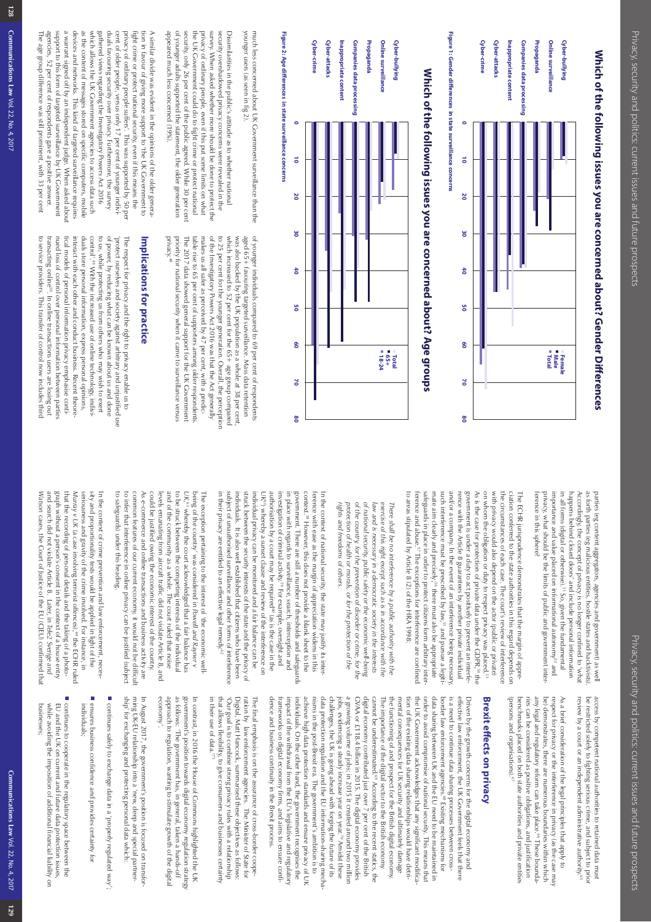# **Which of the following issues you are concerned about? Gender Di** Which of the following issues you are concerned about? Gender Differences **erences**



**Figure 1: Gender diFigure 1: Gender differences in state surveillance concerns erences in state surveillance concerns**

# Which of the following issues you are concerned about? Age groups **Which of the following issues you are concerned about? Age groups**



younger users (as seen in tig 2). much less concerned about UK Government surveillance than the younger users (as seen in fig 2). much less concerned about UK Government surveillance than the

appeared much less concerned (19%). of younger adults supported the statement, the older generation security, only 26 per cent of the public agreed. While 30 per cen the UK Government could do to fight crime or protect national privacy of ordinary people, even if this put some limits on what survey. When asked whether more should be done to protect the security overshadowed privacy concerns were revealed in the Dissimilarities in the public's attitude as to whether national appeared much less concerned (19%). of younger adults supported the statement, the older generation security, only 26 per cent of the public agreed. While 30 per cent the UK Government could do to fight crime or protect national privacy of ordinary people, even if this put some limits on what survey. When asked whether more should be done to protect the security overshadowed privacy concerns were revealed in the Dissimilarities in the public's attitude as to whether national

support to this form of targeted surveillance by UK Government a warrant signed off by an independent judge. When asked abou devices and networks. This kind of targeted surveillance requires as the content of messages stored on specific computers, mobile which allows the UK Government agencies to access data such gathered views regarding the Investigatory Powers Act 2016 duals favouring security over privacy. Furthermore, the survey cent of older people, versus only 17 per cent of younger indiviprivacy of ordinary people suffers'. This was supported by 50 per fight crime or protect national security, even if this means the tion in favour of giving more support to 'the UK Government to A similar divide was evident in the opinions of the older genera-The age group difference was still prominent, with 33 per cent The age group difference was still prominent, with 33 per cent agencies, 52 per cent of respondents gave a positive answer. agencies, 52 per cent of respondents gave a positive answer. support to this form of targeted surveillance by UK Government a warrant signed off by an independent judge. When asked about devices and networks. This kind of targeted surveillance requires as the content of messages stored on specific computers, mobile which allows the UK Government agencies to access data such gathered views regarding the Investigatory Powers Act 2016 duals favouring security over privacy. Furthermore, the survey cent of older people, versus only 17 per cent of younger indivi privacy of ordinary people suffers'. This was supported by 50 per fight crime or protect national security, even if this means the tion in favour of giving more support to 'the UK Government to A similar divide was evident in the opinions of the older genera

> of younger individuals compared to 69 per cent of respondents privacy. priority for national security when it came to surveillance versus makes us all safer as perceived by 47 per cent, with a predicof the Investigatory Powers Act 2016 was that the Act generally to 25 per cent for the younger generation. Overall, the perception which increased to 52 per cent for the 65+ age group compared priority for national security when it came to surveillance versus The 2017 data showed general support for the UK Government The 2017 data showed general support for the UK Government table rise to 65 per cent of supporters among older respondents table rise to 65 per cent of supporters among older respondents. makes us all safer as perceived by  $47$  per cent, with a predic of the Investigatory Powers Act 2016 was that the Act generally to 25 per cent for the younger generation. Overall, the perception which increased to 52 per cent for the 65+ age group compared was also backed by the UK population as a whole at 38 per cent was also backed by the UK population as a whole at 38 per cent, aged 65+ tavouring targeted surveillance. Mass data retention aged 65+ favouring targeted surveillance. Mass data retention of younger individuals compared to 69 per cent of respondents 48

## Implications for practice **Implications for practice**

to service providers. This transfer of control now includes third transacting online<sup>su</sup>. In online transactions users are losing out nued loss of control over personal information between parties tical models of personal information privacy emphasise contiduals store personal information, express personal opinions, control'.<sup>49</sup> With the increased use of online technology, indivi to us, while protecting us from others who may wish to exert of power, by reducing what can be known about us and done to service providers. This transfer of control now includes third nued loss of control over personal information between parties<br>nued loss of control over personal information between parties tical models of personal information privacy emphasise contiinteract with each other and conduct business. Recent theore interact with each other and conduct business. Recent theore duals store personal information, express personal opinions, to us, while protecting us from others who may wish to exert of power, by reducing what can be known about us and done protect ourselves and society against arbitrary and unjustified use 'protect ourselves and society against arbitrary and unjustified use The respect for privacy and the right to privacy enable us to The respect for privacy and the right to privacy enable us to 49 With the increased use of online technology, indivi-

> in all forms (digital or otherwise).<sup>51</sup> So, given the fundamental rerence in this sphere? privacy, what should be the limits of public and government interimportance and value placed on informational autonomy<sup>52</sup> and happens behind closed doors' and include personal information Accordingly, the concept of privacy is no longer contined to "what Accordingly, the concept of privacy is no longer confined to 'what as forth parties (eg malicious entities, hostile states and hacktivists) as forth parties (eg malicious entities, hostile states and hacktivists). parties (eg content aggregators, agencies and government) as well privacy, what should be the limits of public and government interimportance and value placed on informational autonomy<sup>52</sup> and in all forms (digital or otherwise). happens behind closed doors' and include personal information parties (eg content aggregators, agencies and government) as well <sup>51</sup> So, given the fundamental

to areas stipulated by Article 8 (2) of the HRA 1998: to areas stipulated by Article 8 (2) of the HRA 1998: ference and abuse.<sup>57</sup> The exceptions for interference are confined ference and abuse.<sup>57</sup> The exceptions for interference are confined safeguards in place in order to protect citizens form arbitrary inter safeguards in place in order to protect citizens form arbitrary intermate aim clearly and precisely,<sup>56</sup> there must also be appropriate such interference must be prescribed by law,<sup>55</sup> and pursue a legiti rence with the Article 8 guarantees by another private individual rence with the Article 8 guarantees by another private and pursue a legiti-<br>and/or a company, In the event of an interference being necessary, such interfer and/or a company. In the event of an interference being necessary rence with the Article 8 guarantees by another private individual government is under a duty to act positively to prevent an interfe government is under a duty to act positively to prevent an interfe-As is the case for protection of private data under the GDPR,<sup>54</sup> the As is the case for protection of private data under the GDPR, $^{54}$  the on whom the obligation or duty to respect privacy was placed.<sup>53</sup> on whom the obligation or duty to respect privacy was placed. with privacy would also depend on the actor (public or private) with privacy would also depend on the actor (public or private) the circumstances of each case. The court's review of interference the circumstances of each case. The court's review of interference ciation conferred to the state authorities in this regard depends on ciation conferred to the state authorities in this regard depends on The ECHR jurisprudence demonstrates that the margin of appre ference in this sphere? mate aim clearly and precisely;56 there must also be appropriate The ECHR jurisprudence demonstrates that the margin of appre-

rights and freedoms of others. of the country, for the prevention of disorder or crime, for the of national security, public safety or the economic well-being law and is necessary in a democratic society in the interests exercise of this right except such as is in accordance with the *rights and freedoms of others.* protection of health or morals, or for the protection of the *protection of health or morals, or for the protection of the of the country, for the prevention of disorder or crime, for the of national security, public safety or the economic well-being law and is necessary in a democratic society in the interests exercise of this right except such as is in accordance with the There shall be no interference by a public authority with the*  There shall be no interference by a public authority with the

in their privacy are entitled to an effective legal remedy.<sup>62</sup> subject of unauthorised surveillance and other forms of interference subject of unauthorised surveillance and other forms of interference individuals. It is also well established that citizens who have been struck between the security interests of the state and the privacy of struck between the security interests of the state and the privacy of individual privacy can be monitored and a fair balance can be UK<sup>er</sup>) whereby a sunset clause and review of the interference on authorisation by a court may be required<sup>60</sup> (as is the case in the authorisation by a court may be required<sup>tol</sup> (as is the case in the investigation of criminal activity.<sup>59</sup> For example, oversight and in place with regards to surveillance, search, interception and government. There are still a number of thresholds and sateguards government. There are still a number of thresholds and safeguards context. ference with ease as the margin of appreciation widens in this 58 However, this does not provide a blank sheet to the context.<sup>58</sup> However, this does not provide a blank sheet to the terence with ease as the margin of appreciation widens in this In the context of national security, the state may justify its inter in their privacy are entitled to an effective legal remedy. individuals. It is also well established that citizens who have been individual privacy can be monitored and a fair balance can be UK61) whereby a sunset clause and review of the interference on investigation of criminal activity. in place with regards to surveillance, search, interception and In the context of national security, the state may justify its inter-59 For example, oversight and

to safeguards) under this heading to infer that interference in online privacy can be justified (subject could be justified owing the economic interest of the country. to be struck between the competing interests of the individual to safeguards) under this heading. to infer that interference in online privacy can be justified (subject common features of our current economy, it would not be difficu common features of our current economy, it would not be difficult As e-commerce and online transactions and business activity are As e-commerce and online transactions and business activity are could be justified owing the economic interest of the country. levels emanating from aircraft traffic did not violate Article 8, and and of the community as a whole. The court ruled that noise and of the community as a whole. The court ruled that noise to be struck between the competing interests of the individual *UK*,<sup>63</sup> whereby the court acknowledged that a fair balance has being of the country' was considered in Powell and Rayner v The exception pertaining to the interest of 'the economic welllevels emanating from aircraft traffic did not violate Article 8, and being of the country' was considered in The exception pertaining to the interest of 'the economic well ,<sup>63</sup> whereby the court acknowledged that a fair balance has *Powell and Rayner v* 

graph without a person's consent in the context of a house entry that the recording of personal details and the taking of a photo-In the context of crime prevention and law enforcement, neces-Watson cases, the Court of Justice of the EU (CJEU) confirmed that and search did not violate Article 8. Later, in graph without a person's consent in the context of a house entry *Tele2 Sverige and*  and search did not violate Article 8. Later, in Tele2 Sverige and that the recording of personal details and the taking of a photo-*Murray v UK*  Murray v UK (a case involving terrorist offences),<sup>64</sup> the ECHR rulec seriousness and gravity of the crime involved. For instance, in seriousness and gravity of the crime involved. For instance, in sity and proportionality tests would be applied in light of the sity and proportionality tests would be applied in light of the In the context of crime prevention and law enforcement, neces cases, the Court of Justice of the EU (CJEU) confirmed that (a case involving terrorist offences), $^{64}$  the ECHR ruled

> review by a court or an independent administrative authority.<sup>e, ext</sup> be restricted solely to fighting serious crime, and subject to prior review by a court or an independent administrative authority. be restricted solely to fighting serious crime, and subject to prior access by competent national authorities to retained data must access by competent national authorities to retained data must

be) demonstrates, there are numerous boundaries within which (persons and organisations).<sup>67</sup> (persons and organisations). benchmarks placed on both state authorities and private entities benchmarks placed on both state authorities and private entities ries can be considered as positive obligations, and justification ries can be considered as positive obligations, and justification any legal and regulatory reform can take place.<sup>66</sup> These bounda any legal and regulatory reform can take place. be) demonstrates, there are numerous boundaries within which respect for privacy or the interference in privacy (as the case may respect for privacy or the interference in privacy (as the case may As a brief consideration of the legal principles that apply to As a brief consideration of the legal principles that apply to 66 These bounda-

## **Brexit e fects on privacy**

data sharing between UK and the EU need to be maintained in is a need to continue data sharing processes between cross-<br>border law enforcement agencies.<sup>68</sup> Existing mechanisms for dence and business continuity in the Brexit process. dence and business continuity in the Brexit process. trameworks on digital economy tirms, and aims to ensure contiframeworks on digital economy firms, and aims to ensure confi impact of the withdrawal from the EU's legislative and regulatory impact of the withdrawal from the EU's legislative and regulatory individuals. On the other hand, the government recognises the individuals. On the other hand, the government recognises the achieve high data protection standards and ensure privacy of UK achieve high data protection standards and ensure privacy of UK nisms in the post-Brexit era. The government's ambition is to nisms in the post-Brexit era. The government's ambition is to data protection regulation and the EU information-sharing mecha data protection regulation and the EU information-sharing mecha challenges, the UK is going ahead with forging the future of its challenges, the UK is going ahead with forging the future of its jobs, evidencing a steady increase year on year.<sup>70</sup> Amidst these jobs, evidencing a steady increase year on year. a growing volume of jobs; in 2015 it created around two millior a growing volume of jobs; in 2015 it created around two million GVAA or £118.4 billion in 2015. The digital economy provides GVAA or £118.4 billion in 2015. The digital economy provides digital economy contributed just over 7 digital economy contributed just over 7 per cent of the British cannot be underestimated.<sup>69</sup> According to the recent statics, the mental consequences for UK security and ultimately damage mental consequences for UK security and ultimately damage mental consequences of the digital sector to the British economy cannot be underestimated.<sup>60</sup> According The importance of the digital sector to the British economy the functioning of and prospect for the British digital economy mental consequences for UK security and ultimately damage tion of the existing data sharing relationships would have detrition of the existing data sharing relationships would have detrithe UK Government acknowledges that any significant modifica the UK Government acknowledges that any significant modifica order to avoid compromise of national security. This means that order to avoid compromise of national security. This means that data sharing between UK and the EU need to be maintained in border law enforcement agencies. is a need to continue data sharing processes between crosseffective law enforcement, the UK Government feels that there effective law enforcement, the UK Government feels that there Driven by the growth concerns for the digital economy and Driven by the growth concerns for the digital economy and <sup>68</sup> Existing mechanisms for per cent of the British  $70$  Amidst these

in their use of data. in their use of data.' that allows flexibility, to give consumers and businesses certainty that allows flexibility, to give consumers and businesses certainty 'Our goal is to combine strong privacy rules with a relationship 'Our goal is to combine strong privacy rules with a relationship Digital, Matt Hancock, summarised these objectives as follows: ration by law enforcement agencies. The Minister of State for ration by law enforcement agencies. The Minister of State for The final emphasis is on the assurance of cross-border coope The final emphasis is on the assurance of cross-border coope-Digital, Matt Hancock, summarised these objectives as follows:

government's position towards digital economy regulation strategy approach to regulation, wanting to stimulate growth of the digital<br>economy'. approach to regulation, wanting to stimulate growth of the digital as follows: 'The government has, in general, taken a hands-off as follows: 'The government has, in general, taken a hands-off government's position towards digital economy regulation strategy In contrast, in 2016 the House of Commons highlighted the UK In contrast, in 2016 the House of Commons highlighted the UK

ship' for exchanging and protecting personal data which ship' for exchanging and protecting personal data which: ming UK-EU relationship into a 'new, deep and special partnerming UK-EU relationship into a 'new, deep and special partner- In August 2017, the government's position is focused on transfor-In August 2017, the government's position is focused on transfor

■ continues sately to exchange data in a 'properly regulated way'. continues safely to exchange data in a 'properly regulated way';

- ensures business contidence and provides certainty to individuals; ensures business confidence and provides certainty for
- continues to cooperate in the regulatory space between the while avoiding the imposition of additional financial liability on EU and the UK on current and future data protection issues while avoiding the imposition of additional financial liability on EU and the UK on current and future data protection issues, continues to cooperate in the regulatory space between the

businesses;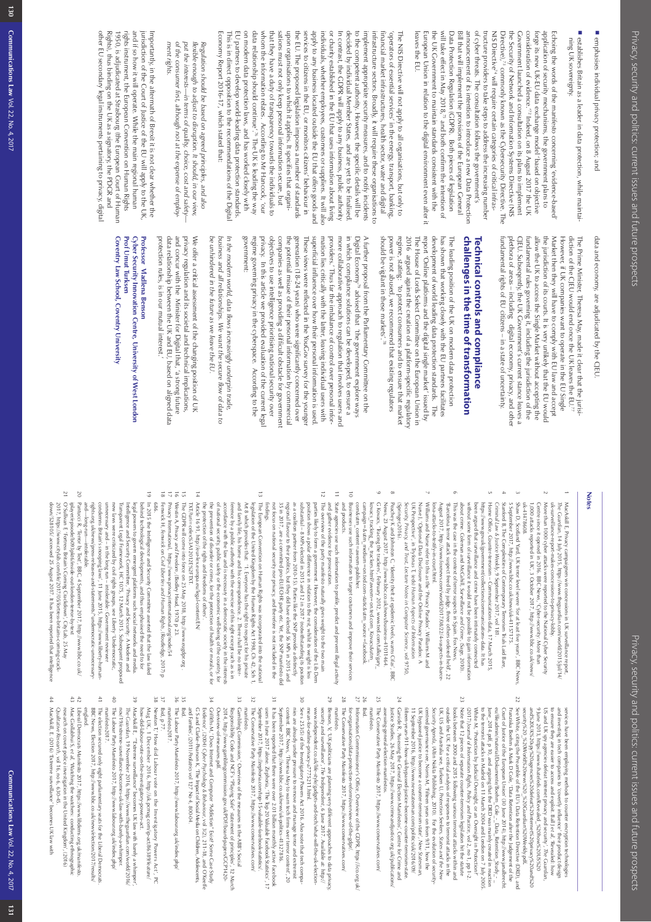■ emphasises individual privacy protection; and emphasises individual privacy protection; and

■ establishes Britain as a leader in data protection, while maintaining UK sovereignty. ning UK sovereignty. establishes Britain as a leader in data protection, while maintai-

leaves the EU. European Union in relation to the digital environment even after it the UK Government to maintain standards consistent with the tructure providers to take steps to address the increasing number<br>of cyber threats. The constitution follows the gow Data Protection<br>Bill that will implement the provisions of the European General<br>Bill that will implement NIS Directive<sup>74</sup> will require certain categories of critical infras-Directive),<sup>73</sup> commonly known as the Cybersecurity Directive. The the Security of Network and Information Systems Directive (NIS Government launched a consultation on its plans to implement consideration of evidence.<sup>72</sup> Indeed, on 8 August 2017 the UK forge its new UK-EU data exchange model 'based on objective application of security mechanisms, the government plans to Echoing the words of the manifesto concerning 'evidence-based leaves the EU. European Union in relation to the digital environment even after it the UK Government to maintain standards consistent with the NIS Directive<sup>24</sup> will require certain categories of critical infrasthe Security of Network and Information Systems Directive (NIS Government launched a consultation on its plans to implement consideration of evidence.' forge its new UK-EU data exchange model 'based on objective application of security mechanisms, the government plans to Echoing the words of the manifesto concerning 'evidence-based'  $^{73}$  commonly known as the Cybersecurity Directive. The  $^{72}$  Indeed, on 8 August 2017 the UK

Economy Report 2016-17, which stated that: EU partners to develop world-leading data protection standards on modern data protection laws, and has worked closely with data relationship should continue'.<sup>19</sup> The UK is leading the way whom the information relates. According to Mr Hancock, 'our that they have a duty of transparency towards the individuals to upon organisations to which it applies. It specifies that organithe EU. The proposed legislation imposes a number of standards services to citizens in the EU, or monitors citizens' behaviour in apply to any business located outside the EU that offers goods and individuals, whether employees, customers or suppliers. It will also or charity established in the EU that uses information about living In contrast, the GDPR will apply to any business, public authority decided by individual Member States, and are yet to be finalised to the competent authority. However, the specific details will be implement appropriate security measures, and to notify incidents infrastructure sectors. Broadly, it will require these organisations to financial market infrastructures, health sector, water and digital Economy Report 2016-17, which stated that: This is in direct opposition to the recommendations of the Digita This is in direct opposition to the recommendations of the Digital EU partners to develop world-leading data protection standards. on modern data protection laws, and has worked closely with data relationship should continue'. whom the information relates. According to Mr Hancock, 'our that they have a duty of transparency towards the individuals to sations must not only keep personal information secure, but sations must not only keep personal information secure, but upon organisations to which it applies. It specifies that organi the EU. The proposed legislation imposes a number of standards services to citizens in the EU, or monitors citizens' behaviour in apply to any business located outside the EU that offers goods and individuals, whether employees, customers or suppliers. It will also or charity established in the EU that uses information about living In contrast, the GDPR will apply to any business, public authority decided by individual Member States, and are yet to be finalised. to the competent authority. However, the specific details will be implement appropriate security measures, and to notify incidents infrastructure sectors. Broadly, it will require these organisations to financial market infrastructures, health sector, water and digital 'operators of essential services' in the energy, transport, banking 'operators of essential services' in the energy, transport, banking, The NIS Directive will not apply to all organisations, but only to The NIS Directive will not apply to all organisations, but only to  $^{76}$  The UK is leading the way

*ment rights.* of the consumer first, although not at the expense of employput the interests-in terms of quality, choice, cost and safetyflexible enough to adjust to disruption. It should, in our view, Regulation should be based on agreed principles, and also *of the consumer first, although not at the expense of employ put the interests—in terms of quality, choice, cost and safety flexible enough to adjust to disruption. It should, in our view, Regulation should be based on agreed principles, and also* 

Rights), thus binding on the UK as a signatory, the PDGR and rights instrument, the European Convention on Human Rights and if so how it will operate. While the main regional human jurisdiction of the Court of Justice of the EU will apply to the UK, other EU secondary legal instruments pertaining to privacy, digita other EU secondary legal instruments pertaining to privacy, digital Rights), thus binding on the UK as a signatory, the PDGR and 1950, is adjudicated at Strasbourg (the European Court of Human 1950, is adjudicated at Strasbourg (the European Court of Human rights instrument, the European Convention on Human Rights and if so how it will operate. While the main regional human jurisdiction of the Court of Justice of the EU will apply to the UK, Importantly, in the aftermath of Brexit it is not clear whether the Importantly, in the aftermath of Brexit it is not clear whether the

> data and economy, are adjudicated by the CJEU. data and economy, are adjudicated by the CJEU.

CJEU. Subseqently, the UK Government's current stance leaves a fundamental rules governing it, including the jurisdiction of the the jurisdiction of its courts. It is very unlikely that the EU would Market then they will have to comply with EU law and accept fundamental rights of EU citizens - in a state of uncertainty. fundamental rights of EU citizens – in a state of uncertainty. plethora of areas – including digital economy, privacy, and other plethora of areas – including digital economy, privacy, and other CJEU. Subseqently, the UK Government's current stance leaves a fundamental rules governing it, including the jurisdiction of the allow the UK to access the Single Market without accepting the allow the UK to access the Single Market without accepting the the jurisdiction of its courts. It is very unlikely that the EU would Market then they will have to comply with EU law and accept However, if UK companies want to operate in the EU Single However, if UK companies want to operate in the EU Single diction of the CJEU would end once the UK leaves the EU." diction of the CJEU would end once the UK leaves the EU.77 The Prime Minister, Theresa May, made it clear that the jurisi The Prime Minister, Theresa May, made it clear that the jurisi

## challenges in the time of transformation **challenges in the time of transformation Technical controls and compliance Technical controls and compliance**

should be vigilant in these markets'.<sup>78</sup> power is not abused, we recommend that existing regulators report 'Online platforms and the digital single market' issued by development of world leading data protection standards. The should be vigilant in these markets'. power is not abused, we recommend that existing regulators regime, stating: 'to protect consumers and to ensure that market regime, stating: 'to protect consumers and to ensure that market 2016 argued against the creation of a platform-specific regulatory 2016 argued against the creation of a platform-specific regulatory The House of Lords Select Committee on the European Union in report 'Online platforms and the digital single market' issued by development of world leading data protection standards. The has shown that working closely with the EU partners facilitates has shown that working closely with the EU partners facilitates The leading position of the UK on modern data protection The leading position of the UK on modern data protection The House of Lords Select Committee on the European Union in

government. privacy. In this article we provided evaluation of the current legal mation lies critically with the latter, leaving individual users with providers.' Thus tar the imbalance of control over personal informore collaborative approach to regulation that involves users and in which compliance solutions can be developed, to ensure a A further proposal from the Parliamentary Committee on the government: regime governing privacy in the cyberspace. According to the regime governing privacy in the cyberspace. According to the objectives to use intelligence prioritising national security over objectives to use intelligence prioritising national security over companies as well as providing a difficult obstacle for government companies as well as providing a difficult obstacle for government the potential misuse of their personal information by commercial the potential misuse of their personal information by commercial generation (18-24 years) who were significantly concerned over generation (18-24 years) who were significantly concerned over These views were reflected in the YouGov survey for the younge These views were reflected in the YouGov survey for the younger superficial influence over how their personal information is used. superticial influence over how their personal information is used mation lies critically with the latter, leaving individual users with providers.' Thus far the imbalance of control over personal infor more collaborative approach to regulation that involves users and in which compliance solutions can be developed, to ensure a Digital Economy<sup>,59</sup> advised that *'t*he government explore ways Digital Economy A further proposal from the Parliamentary Committee on the In this article we provided evaluation of the current legal 79 advised that *'*the government explore ways

be unhindered in the tuture as we leave the EU business and all relationships. We want the secure flow of data to In the modern world, data flows increasingly underpin trade. *be unhindered in the future as we leave the EU. business and all relationships. We want the secure flow of data to In the modern world, data flows increasingly underpin trade,* 

protection rules, is in our mutual interest." data relationship between the UK and EU, based on aligned data privacy regulation and its societal and technical implications, We otter a critical assessment of the changing position of UK protection rules, is in our mutual interest.' data relationship between the UK and EU, based on aligned data and concur with the Minister for Digital that, 'a strong future and concur with the Minister for Digital that, 'a strong future privacy regulation and its societal and technical implications, We offer a critical assessment of the changing position of UK

## Professor Vladlena Benson **Professor Vladlena Benson**

Coventry Law School, Coventry University Prof Umut Turksen Cyber Security Innovation Centre, University of West London **Coventry Law School, Coventry University Prof Umut Turksen Cyber Security Innovation Centre, University of West London**

### **Notes**

MacAskill E, Privacy campaigners win concessions in UK surveillance repor The Guardian, 14 July 2015, https://www.theguardian.com/world/2015/jul/14<br>uk-surveillance-report-makes-concessions-to-privacy-lobby. uk-surveillance-report-makes-concessions-to-privacy-lobby. *The Guardian*MacAskill E, Privacy campaigners win concessions in UK surveillance report, , 14 July 2015, https://www.theguardian.com/world/2015/jul/14/

More than 1000 cyber attacks were reported to the National Cyber Security

 $\sim$ 

- 3 More than 1000 cyber attacks were reported to the National Cyber Security<br>Centre since it opened in 2016. BBC News, 'Cyber-security: More than Shaw D, Scotland Yard, UK terror level severe 'for at least five years', BBC New Shaw D, Scotland Yard, UK terror level severe 'for at least five years', BBC News, uk-41478608 uk-41478608. 1,000 attacks reported in UK', 3 October 2017, http://www.bbc.co.uk/news/ 1,000 attacks reported in UK', 3 October 2017, Centre since it opened in 2016. BBC News, 'Cyber-security: More than http://www.bbc.co.uk/news/
- Stanford B, The Complexities of Contemporary Terrorism Trials Laid Bare, 5 September 2017, http://www.bbc.co.uk/news/uk-41157175 Stanford B, The Complexities of Contemporary Terrorism Trials Laid Bare, 5 September 2017, http://www.bbc.co.uk/news/uk-41157175.

22

4

- t.n Home Office, Counter-terrorism - Communications data, 17 March 2015 been argued that surveillance and crime have been intimately connected been argued that surveillance and crime have been intimately connected https://www.gov.uk/government/collections/communications-data. It has https://www.gov.uk/government/collections/communications-data Criminal Law & Justice Weekly, 9 September 2017, vol 181. *Criminal Law & Justice Weekly* Home Office, Counter-terrorism – Communications data, 17 March 2015, , 9 September 2017, vol 181.
- This was the case in the context of terror suspects in Spain. Fox News,  $\Gamma$  is were force for the context of terror suspect freed by judge, three others ordered held, 2 2 This was the case in the context of terror suspects in Spain. Fox News, about crime. Coleman and McCahill, Surveillance and Crime, (Sage, 2010). without some form of surveillance it would not be possible to gain information without some form of surveillance it would not be possible to gain information crime. Coleman and McCahill, *Surveillance and Crime*, (Sage, 2010).

23

6

- $\overline{\phantom{0}}$ Williams and Nurse refer to this as the 'Privacy Paradox'. Williams M and Williams and Nurse refer to this as the 'Privacy Paradox'. Williams M and lona-attacks-to-testify-in-court.html. lona-attacks-to-testify-in-court.html. August 2017, http://www.foxnews.com/world/2017/08/22/4-suspects-in-barce August 2017, 'Barcelona terror attack suspect freed by judge, three others ordered held', 22 http://www.foxnews.com/world/2017/08/22/4-suspects-in-barce-
- UK Perspective', in Tryfonas T, (eds) Human Aspects of Information (Springer, 2016) (Springer,2016). Security, Privacy, and Irust, Lecture Notes in Computer Science, vol 9750, *Security, Privacy, and Trust, Lecture Notes in Computer Science*Nurse J, 'Optional Data Disclosure and the Online Privacy Paradox: A Nurse J, 'Optional Data Disclosure and the Online Privacy Paradox: A UK Perspective', in Tryfonas T, (eds) *Human Aspects of Information*  , vol 9750,
- News, 23 August 2017, http://www.bbc.co.uk/news/business-41011464.<br>C Kovacs, 'Tracing the trackers', February 2012, www.ted.com/talks/gary. Peachey K and Johnston C, 'Identity theft at epidemic levels, warns Cifas', BBC G Kovacs, 'Tracing the trackers', February 2012, www.ted.com/talks/gary\_ News, 23 August 2017, Peachey K and Johnston C, 'Identity theft at epidemic levels, warns Cifas', BBC http://www.bbc.co.uk/news/business-41011464.

24

 $\alpha$ 

9

- com&utm\_content=awesm-publisher. campaign=&utm\_medium=on.ted.com-static&utm\_source=tacebook com&utm\_content=awesm-publisher campaign=&utm\_medium=on.ted.com-static&utm\_source=facebook. kovacs\_tracking\_the\_trackers.html?awesm=on.ted.com\_Kovacs&utm kovacs\_tracking\_the\_trackers.html?awesm=on.ted.com\_Kovacs&utm\_
- 10 Businesses use such information to target costumers and improve their services and products. and products. Businesses use such information to target costumers and improve their services
- 11 State agencies use such information to profile, predict and prevent illegal activity and gather evidence for prosecution. and gather evidence for prosecution. State agencies use such information to profile, predict and prevent illegal activity
- 12 The overview of the party manifesto naturally gives weight to the two main not focus on national security nor privacy, and therefore is not included in the 35 in 2017, are a committed pro-EU/ECHR party etc. Yet, the SNP manifesto did as a coalition partner from 2010-15). Parties like the SNP provide a distinctly substantial - 8 MPs elected in 2015 and 12 in 2017 (notwithstanding its position parties likely to form a government. However, the consideration of the Lib Dem not focus on national security nor privacy, and therefore is not included in the 35 in 2017, are a committed pro-EU/ECHR party etc. Yet, the SNP manifesto did regional flavour to their politics, but they did have elected 56 MPs in 2015 and regional flavour to their politics, part they did have elected 56 MPs in 2015 and as a coalition partner from 2010-15). Parties like the SNP provide a distinctly substantial – 8 MPs elected in 2015 and 12 in 2017 (notwithstanding its position position shows a polar difference in relation to the rest, whilst its weight is less position shows a polar difference in relation to the rest, whilst its weight is less parties likely to form a government. However, the consideration of the Lib Dem The overview of the party manifesto naturally gives weight to the two main
- $\frac{1}{2}$ The European Convention on Human Rights was incorporated into the nationa findings. Art 8 which provides that: '1. Everyone has the right to respect for his private legislation of the United Kingdom by the Human Rights Act 1998, Ch 42, Sch 1 legislation of the United Kingdom by the Human Rights Act 1998, Ch 42, Sch 1, The European Convention on Human Rights was incorporated into the national
- Art 8 which provides that: 'T. Everyone has the right to respect for his private and family life, his home and his correspondence. 2. There shall be no interthe protection of the rights and freedoms of others' the prevention of disorder or crime, for the protection of health or morals, or for of national security, public safety or the economic well-being of the country, for the protection of the rights and freedoms of others'. the prevention of disorder or crime, for the protection of health or morals, or for of national security, public safety or the economic well-being of the country, for accordance with the law and is necessary in a democratic society in the interests accordance with the law and is necessary in a democratic society in the interests ference by a public authority with the exercise of this right except such as is in ference by a public authority with the exercise of this right except such as is in and family life, his home and his correspondence. 2. There shall be no inter
- Article 16 91, http://eur-lex.europa.eu/legal-content/EN/ TXT/?uri = celex%3 A12012E%2FTXT. TXT/?uri=celex%3A12012E%2FTXT. Article 16 91, http://eur-lex.europa.eu/legal-content/EN/

14

- $\frac{1}{\sqrt{2}}$ The GDPR will come into force on 25 May 2018, http://www.eugdpr.org .
- 16 The CDPR will come into force on 25 May 2018, http://www.eugdpr.org<br>Westin A, *Privacy and Freedom,* (Bodley Head, 1970) p 23. *Privacy and Freedom*, (Bodley Head, 1970) p 23.
- 1 Privacy International, https://www.privacyinternational.org/node/54 Privacy International, https://www.privacyinternational.org/node/54
- 19  $\frac{1}{8}$ Fenwick H, Fenwick on Civil Liberties and Human Rights, (Routledge, 2017) p In 2015 the Intelligence and Security Committee asserted that the law failed 686. In 2015 the Intelligence and Security Committee asserted that the law failed Fenwick H, *Fenwick on Civil Liberties and Human Rights*, (Routledge, 2017) p
- unnecessary and -- in the long run -- intolerable: Government reviewer Transparent Legal Framework, HC 1075, 12 March 2015. Subsequent proposec unnecessary and – in the long run – intolerable: Government reviewer new laws were criticized by civil rights groups, see Liberty 'Undemocratic, new laws were criticized by civil rights groups, see Liberty 'Undemocratic, Transparent Legal Framework, HC 1075, 12 March 2015. Subsequent proposed Intelligence and Security Committee, 'Privacy and Security: A Modern and legal powers to govern emergent platforms such social networks and media. legal powers to govern emergent platforms such social networks and media. behind technological developments, and thus emphasised the need to for behind technological developments, and thus emphasised the need to for Intelligence and Security Committee, 'Privacy and Security: A Modern and
- and—long-run—intolerable.<br>20 Pantucci R, "Terror by Text", BBC, 4 September 2017, http://www.bbc.co.uk rights.org.uk/news/press-releases-and-statements/"undemocratic-unnecessary-<br>and-—long-run —-intolerable . rights.org.uk/news/press-releases-and-statements/"undemocratic-unnecessary condemns Britain's snooping laws', 11 June 2015, https://www.liberty-human condemns Britain's snooping laws', 11 June 2015, Pantucci R, 'Terror by Text', BBC, 4 September 2017, http://www.bbc.co.uk/ https://www.liberty-human-
- 21 O'Sullivan F, 'Fortress Britain's Coming Crackdown', CityLab, 25 May iplayer/episode/b093pkt6/inside-out-london-terror-by-tex 2017, https://www.citylab.com/life/2017/05/fortress-britains-coming-crack-O'Sullivan F, 'Fortress Britain's Coming Crackdown', CityLab, 25 May iplayer/episode/b093pkt6/inside-out-london-terror-by-text https://www.citylab.com/life/2017/05/fortress-britains-coming-crack-
- down/528105/ accessed 25 August 2017. It has been reported that intelligence down/528105/ accessed 25 August 2017. It has been reported that intelligence

Justice Studies, 26 May 2017, https://www.crimeandjustice.org.uk/publications/ Garside R, 'Assessing the General Election Manifestos', Centre for Crime and titteen-years-911-how-uk-bypassed-justice-become-counter-terrorism-state 11 September 2016, http://www.newstatesman.com/politics/uk/2016/09/ UK bypassed justice to become a counter-terrorism state', New Statesman, centred governance see, Norris M, 'Fifteen years on from 9/11, how the Security Agenda, (Altin Nokta Publishing, 2010). For the evolution of security UK, US and Australia see, Turksen U, Protection Seekers, States and the New outside the UK. For a critical analysis of responses to terrorist attacks in the books between 2000 and 2015 following various terrorist attacks within and Note that 12 pieces of separate counter-terrorism legislation hit the statute (2017) Journal of Information Rights, Policy and Practice, vol 2, no 1, pp 1-2. White M, 'Protection by Judicial Oversight, or an Oversight in Protection? June\_2014.pdf, p 10, and arguing that the DRD was mainly created in reaction to the terroria attacks in Madrid on 11 March 2004 and London on 7 July 2005 eu/fileadmin/material/Dokumente/Boehm\_Cole\_-\_Data\_Retention\_Study\_-Court of Justice of the European Union' (30 June 2014), http://www.janalbrecht. Franziska Boehm & Mark D Cole, 'Data Retention after the Judgement of the See White, citing the Preamble of the EU's Data Retention Directive (DRD), and security%20\_%20World%20news%20\_%20Guardian%20Weekly.pd and%20UK%20spy%20agencies%20defeat%20jnternet%20privacy%20and%20 9 June 2013, https://www.ihatefeds.com/Revealed\_%20how%20US%20 US and UK spy agencies defeat internet privacy and security', The Guardian, and investing in tech companies to 'covertly influence' their product design to ensure they are easier to access and exploit. Ball J et al, 'Revealed: how Justice Studies, 26 May 2017, Garside R, 'Assessing the General Election Manifestos', Centre for Crime and fifteen-years-911-how-uk-bypassed-justice-become-counter-terrorism-state. 11 September 2016, http://www.newstatesman.com/politics/uk/2016/09/ UK bypassed justice to become a counter-terrorism state', centred governance see, Norris M, 'Fifteen years on from 9/11, how the *New StatesmanSecurity Agenda*UK, US and Australia see, Turksen U, outside the UK. For a critical analysis of responses to terrorist attacks in the books between 2000 and 2015 following various terrorist attacks within and Note that 12 pieces of separate counter-terrorism legislation hit the statute White M, 'Protection by Judicial Oversight, or an Oversight in Protection?' to the terrorist attacks in Madrid on 11 March 2004 and London on 7 July 2005. June\_2014.pdf, p 10, and arguing that the DRD was mainly created in reaction eu/fileadmin/material/Dokumente/Boehm\_Cole\_-\_Data\_Retention\_Study\_- \_ Court of Justice of the European Union' (30 June 2014), http://www.janalbrecht. Franziska Boehm & Mark D Cole, 'Data Retention after the Judgement of the See White, citing the Preamble of the EU's Data Retention Directive (DRD), and security%20\_%20World%20news%20\_%20Guardian%20Weekly.pdf and%20UK%20spy%20agencies%20defeat%20internet%20privacy%20and%20 9 June 2013, https://www.ihatefeds.com/Revealed\_%20how%20US%20 US and UK spy agencies defeat internet privacy and security', to ensure they are easier to access and exploit. Ball J and investing in tech companies to 'covertly influence' their product design services have been employing methods to counter encryption technologies services have been employing methods to counter encryption technologie *Journal of Information Rights, Policy and Practice*, (Altin Nokta Publishing, 2010). For the evolution of securityhttps://www.crimeandjustice.org.uk/publications/ *Protection Seekers, States and the New*  , vol 2, no 1, pp 1-2. , 'Revealed: how *The Guardian***.** 

- 25 The Conservative Party Manifesto 2017, https://www.conservatives.com/  $asssing-gened-election-manifestos.$ The Conservative Party Manifesto 2017, https://www.conservatives.com/ assessing-general-election-manifestos.
- 26 Ibid. manitesto manifesto.
- 28 27 for-organisations/data-protection-reform/overview-of-the-gdpr/ The Conservative Party Manifesto 2017, https://www.conservatives.com/ Information Commmissioner's Office, Overview of the GDPR, https://ico.org.uk The Conservative Party Manifesto 2017, https://www.conservatives.com/ for-organisations/data-protection-reform/overview-of-the-gdpr/. Information Commmissioner's Office, Overview of the GDPR, https://ico.org.uk/
- 29 mannesto Benson, V, 'UK politicians are planning very different approaches to data privacy, manifesto.
- Benson, V, UK politicians are planning very different approaches to data privacy excurity and surveillance', The Independent, 6 June 2017. Available at: http:// mean-for-online-privacy-a7775211.html. www.independent.co.uk/life-style/gadgets-and-tech/what-will-the-uk-electionmean-for-online-privacy-a7775211.html www.independent.co.uk/life-style/gadgets-and-tech/what-will-the-uk-election security and surveillance', *The Independent*, 6 June 2017. Available at: http://
- 30 content. BBC News, 'Theresa May to warn tech firms over terror content', 20 nies are already under pressure to remove and manage terror and extremis See s 253(5) of the Investigatory Powers Act 2016. Also note that tech compa nies are already under pressure to remove and manage terror and extremist content, 20 nies are already under pressure to remove and manage terror content', 20 content is BC News, 'Theresa May to warn tech firms over terror See s 253(5) of the Investigatory Powers Act 2016. Also note that tech compa-
- 31 It has been reported that there were over 2.01 billion monthly active Facebook<br>users in June 2017 alone. Zephoria, "The Top 20 Valuable Facebook Statistics", 17<br>users in June 2017 alone. Zephoria, "The Top 20 Valuable Fac September 2017, http://www.bbc.co.uk/news/uk-politics-41327816. users in June 2017 It has been reported that there were over 2.01 billion monthly active Facebook alone. Zephoria, 'The Top 20 Valuable Facebook Statistics' , 17
- 32 The Conservative Party Manifesto 2017, https://www.conservatives.com/ manitesto September 2017, https://zephoria.com/top-15-valuable-tacebook-statistics/ manifesto. The Conservative Party Manifesto 2017, https://www.conservatives.com/ September 2017, https://zephoria.com/top-15-valuable-facebook-statistics/.
- 33 2014, http://www.gamblingcommission.gov.uk/PDF/board-papers/CCP1420-Responsibility Code and NCF's "Playing Safe" statement of principles', 12 March Cambling Commission,' Overview of the measures in the ABB's Social Responsibility Code and NCF's "Playing Safe" statement of principles', 12 March Gambling Commission,' Overview of the measures in the ABB's Social http://www.gamblingcommission.gov.uk/PDF/board-papers/GCP1420-
- 34 Griffiths M,' Does Internet and Computer "Addiction" Exist? Some Case Study Overview-of-measures.pdf. Evidence', (2004) Cyber Psychology & Behaviour, vol 3(2), 211-18, and O'Keeth Evidence', (2004) Griffiths M,' Does Internet and Computer "Addiction" Exist? Some Case Study Overview-of-measures.pdf. *Cyber Psychology & Behaviour*, vol 3(2), 211-18, and O'Keeffe
- 95 95<br>26 96 Ibid. and Families',  $(2011)$  *Pediatrics* vol 127 No 4, 800-04. G S and Clarke-Pearson K, 'The Impact of Social Media on Children, Adolescents and Families', (2011) G S and Clarke-Pearson K, 'The Impact of Social Media on Children, Adolescents, vol 127 No 4, 800-04.
- The Labour Party Manifesto 2017, http://www.labour.org.uk/index.php/ The Labour Party Manifesto 2017, http://www.labour.org.uk/index.php/
- Ibid, p 77. mantesto 2017 manifesto2017.
- ين بن<br>م Mag UK, 1 December 2016, http://uk.pcmag.com/ip-act/86389/feature. Newton T,' How did Labour vote on the Investigatory Powers Act', PC Mag UK, 1 December 2016, Newton T,' How did Labour vote on the Investigatory Powers Act', PC http://uk.pcmag.com/ip-act/86389/feature/
- 39 MacAskill E, ""Extreme surveillance" becomes UK law with barely a whimper' how-did-labour-vote-on-the-investigatory-powers-act. MacAskill E, '"Extreme surveillance" becomes UK law with barely a whimper', how-did-labour-vote-on-the-investigatory-powers-act.
- nov/19/extreme-surveillance-becomes-uk-law-with-barely-a-whimper The Guardian, 19 November 2016, https://www.theguardian.com/world/2016 nov/19/extreme-surveillance-becomes-uk-law-with-barely-a-whimper. *The Guardian* , 19 November 2016, https://www.theguardian.com/world/2016/
- 40 The Labour Party Manifesto 2017, http://www.labour.org.uk/index.php/ The Labour Party Manifesto 2017, http://www.labour.org.uk/index.php/
- mannesto zu i z manifesto2017.
- $\ddot{a}$ BBC News, Election 2017, http://www.bbc.co.uk/news/election/2017/results The election secured only eight parliamentary seats for the Liberal Democrat BBC News, Election 2017, The election secured only eight parliamentary seats for the Liberal Democrats. http://www.bbc.co.uk/news/election/2017/results/
- engana.<br>Liberal Democrats Manifesto 2017, https://www.libdems.org.uk/manifestc 4 4<br>3<br>4 4 Liberal Democrats Manifesto 2017, https://www.libdems.org.uk/manifesto.
- Mac Giollabhui S, et al, 'Watching the watchers: conducting ethnographic research on covert police investigation in the United Kingdom', (2016) research on covert police investigation in the United Kingdom', (2016) Mac Giollabhui S, 'Watching the watchers: conducting ethnographic
- Qualitative Research, vol 16, no 6, 630-45 *Qualitative Research* , vol 16, no 6, 630-45.
- 44 MacAskill, E. (2016) 'Extreme surveillance' becomes UK law with MacAskill, E. (2016) 'Extreme surveillance' becomes UK law with

130